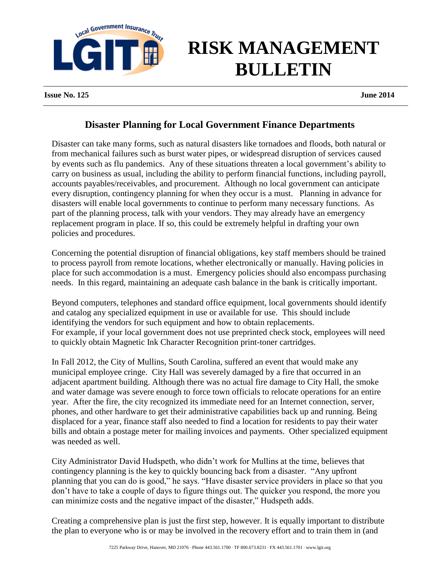

## **RISK MANAGEMENT BULLETIN**

**Issue No. 125** June 2014

## **Disaster Planning for Local Government Finance Departments**

Disaster can take many forms, such as natural disasters like tornadoes and floods, both natural or from mechanical failures such as burst water pipes, or widespread disruption of services caused by events such as flu pandemics. Any of these situations threaten a local government's ability to carry on business as usual, including the ability to perform financial functions, including payroll, accounts payables/receivables, and procurement. Although no local government can anticipate every disruption, contingency planning for when they occur is a must. Planning in advance for disasters will enable local governments to continue to perform many necessary functions. As part of the planning process, talk with your vendors. They may already have an emergency replacement program in place. If so, this could be extremely helpful in drafting your own policies and procedures.

Concerning the potential disruption of financial obligations, key staff members should be trained to process payroll from remote locations, whether electronically or manually. Having policies in place for such accommodation is a must. Emergency policies should also encompass purchasing needs. In this regard, maintaining an adequate cash balance in the bank is critically important.

Beyond computers, telephones and standard office equipment, local governments should identify and catalog any specialized equipment in use or available for use. This should include identifying the vendors for such equipment and how to obtain replacements. For example, if your local government does not use preprinted check stock, employees will need to quickly obtain Magnetic Ink Character Recognition print-toner cartridges.

In Fall 2012, the City of Mullins, South Carolina, suffered an event that would make any municipal employee cringe. City Hall was severely damaged by a fire that occurred in an adjacent apartment building. Although there was no actual fire damage to City Hall, the smoke and water damage was severe enough to force town officials to relocate operations for an entire year. After the fire, the city recognized its immediate need for an Internet connection, server, phones, and other hardware to get their administrative capabilities back up and running. Being displaced for a year, finance staff also needed to find a location for residents to pay their water bills and obtain a postage meter for mailing invoices and payments. Other specialized equipment was needed as well.

City Administrator David Hudspeth, who didn't work for Mullins at the time, believes that contingency planning is the key to quickly bouncing back from a disaster. "Any upfront planning that you can do is good," he says. "Have disaster service providers in place so that you don't have to take a couple of days to figure things out. The quicker you respond, the more you can minimize costs and the negative impact of the disaster," Hudspeth adds.

Creating a comprehensive plan is just the first step, however. It is equally important to distribute the plan to everyone who is or may be involved in the recovery effort and to train them in (and